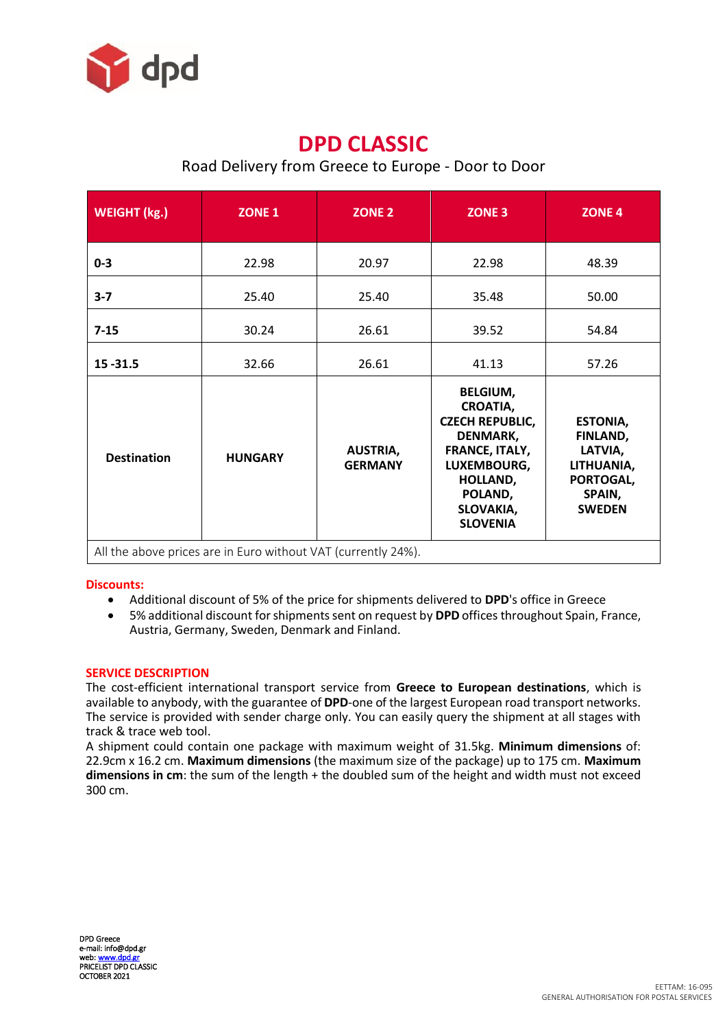

## **DPD CLASSIC**

## Road Delivery from Greece to Europe - Door to Door

| <b>WEIGHT (kg.)</b> | ZONE <sub>1</sub>                                             | <b>ZONE 2</b>                     | ZONE <sub>3</sub>                                                                                                                                                       | ZONE <sub>4</sub>                                                                            |
|---------------------|---------------------------------------------------------------|-----------------------------------|-------------------------------------------------------------------------------------------------------------------------------------------------------------------------|----------------------------------------------------------------------------------------------|
| $0 - 3$             | 22.98                                                         | 20.97                             | 22.98                                                                                                                                                                   | 48.39                                                                                        |
| $3 - 7$             | 25.40                                                         | 25.40                             | 35.48                                                                                                                                                                   | 50.00                                                                                        |
| $7 - 15$            | 30.24                                                         | 26.61                             | 39.52                                                                                                                                                                   | 54.84                                                                                        |
| $15 - 31.5$         | 32.66                                                         | 26.61                             | 41.13                                                                                                                                                                   | 57.26                                                                                        |
| <b>Destination</b>  | <b>HUNGARY</b>                                                | <b>AUSTRIA,</b><br><b>GERMANY</b> | <b>BELGIUM,</b><br><b>CROATIA,</b><br><b>CZECH REPUBLIC,</b><br><b>DENMARK,</b><br>FRANCE, ITALY,<br>LUXEMBOURG,<br>HOLLAND,<br>POLAND,<br>SLOVAKIA,<br><b>SLOVENIA</b> | <b>ESTONIA,</b><br>FINLAND,<br>LATVIA,<br>LITHUANIA,<br>PORTOGAL,<br>SPAIN,<br><b>SWEDEN</b> |
|                     | All the above prices are in Euro without VAT (currently 24%). |                                   |                                                                                                                                                                         |                                                                                              |

## **Discounts:**

- Additional discount of 5% of the price for shipments delivered to **DPD**'s office in Greece
- 5% additional discount for shipments sent on request by **DPD** offices throughout Spain, France, Austria, Germany, Sweden, Denmark and Finland.

## **SERVICE DESCRIPTION**

The cost-efficient international transport service from **Greece to European destinations**, which is available to anybody, with the guarantee of **DPD**-one of the largest European road transport networks. The service is provided with sender charge only. You can easily query the shipment at all stages with track & trace web tool.

A shipment could contain one package with maximum weight of 31.5kg. **Minimum dimensions** of: 22.9cm x 16.2 cm. **Maximum dimensions** (the maximum size of the package) up to 175 cm. **Maximum dimensions in cm**: the sum of the length + the doubled sum of the height and width must not exceed 300 cm.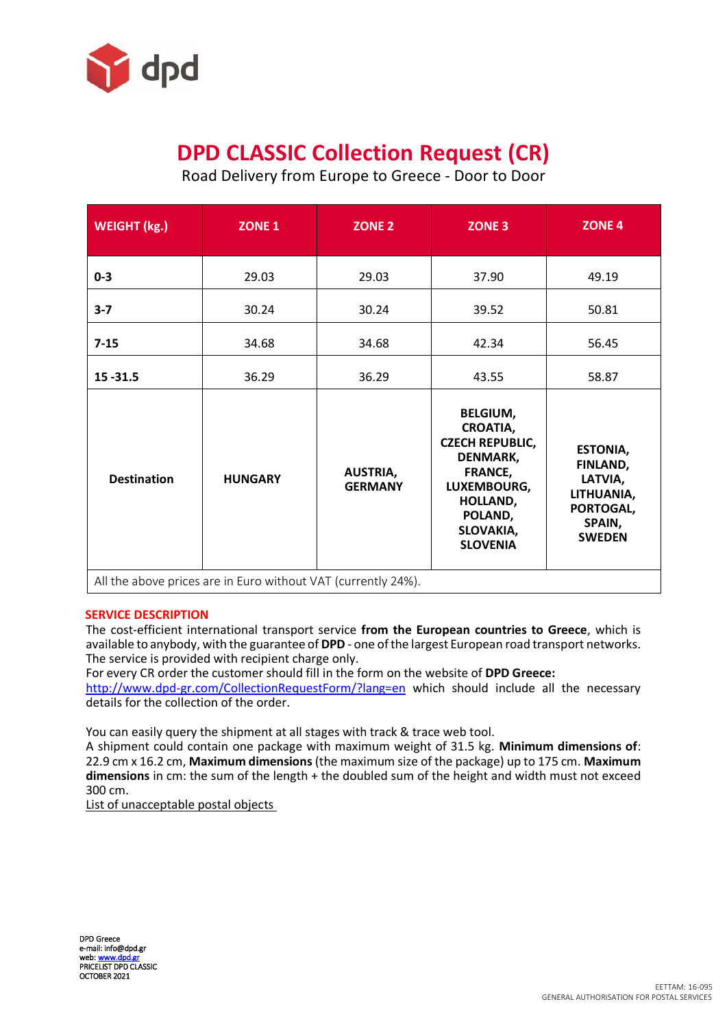

# **DPD CLASSIC Collection Request (CR)**

Road Delivery from Europe to Greece - Door to Door

| ZONE <sub>1</sub>                                                               | <b>ZONE 2</b>                     | <b>ZONE 3</b>                                                                                                                                                    | <b>ZONE 4</b>                                                                                |
|---------------------------------------------------------------------------------|-----------------------------------|------------------------------------------------------------------------------------------------------------------------------------------------------------------|----------------------------------------------------------------------------------------------|
| 29.03                                                                           | 29.03                             | 37.90                                                                                                                                                            | 49.19                                                                                        |
| 30.24                                                                           | 30.24                             | 39.52                                                                                                                                                            | 50.81                                                                                        |
| 34.68                                                                           | 34.68                             | 42.34                                                                                                                                                            | 56.45                                                                                        |
| 36.29                                                                           | 36.29                             | 43.55                                                                                                                                                            | 58.87                                                                                        |
| <b>HUNGARY</b><br>All the above prices are in Euro without VAT (currently 24%). | <b>AUSTRIA,</b><br><b>GERMANY</b> | <b>BELGIUM,</b><br><b>CROATIA,</b><br><b>CZECH REPUBLIC,</b><br>DENMARK,<br><b>FRANCE,</b><br>LUXEMBOURG,<br>HOLLAND,<br>POLAND,<br>SLOVAKIA,<br><b>SLOVENIA</b> | <b>ESTONIA,</b><br>FINLAND,<br>LATVIA,<br>LITHUANIA,<br>PORTOGAL,<br>SPAIN,<br><b>SWEDEN</b> |
|                                                                                 |                                   |                                                                                                                                                                  |                                                                                              |

## **SERVICE DESCRIPTION**

The cost-efficient international transport service **from the European countries to Greece**, which is available to anybody, with the guarantee of **DPD** - one of the largest European road transport networks. The service is provided with recipient charge only.

For every CR order the customer should fill in the form on the website of **DPD Greece:**

<http://www.dpd-gr.com/CollectionRequestForm/?lang=en> which should include all the necessary details for the collection of the order.

You can easily query the shipment at all stages with track & trace web tool.

A shipment could contain one package with maximum weight of 31.5 kg. **Minimum dimensions of**: 22.9 cm x 16.2 cm, **Maximum dimensions** (the maximum size of the package) up to 175 cm. **Maximum dimensions** in cm: the sum of the length + the doubled sum of the height and width must not exceed 300 cm.

List of unacceptable postal objects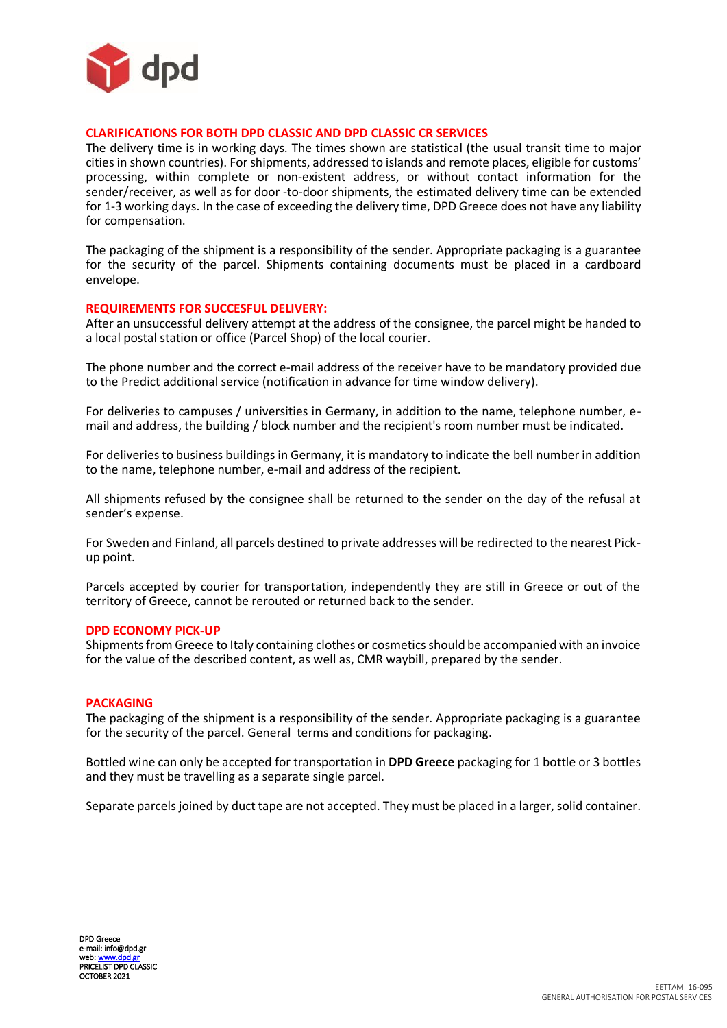

### **CLARIFICATIONS FOR BOTH DPD CLASSIC AND DPD CLASSIC CR SERVICES**

The delivery time is in working days. The times shown are statistical (the usual transit time to major cities in shown countries). For shipments, addressed to islands and remote places, eligible for customs' processing, within complete or non-existent address, or without contact information for the sender/receiver, as well as for door -to-door shipments, the estimated delivery time can be extended for 1-3 working days. In the case of exceeding the delivery time, DPD Greece does not have any liability for compensation.

The packaging of the shipment is a responsibility of the sender. Appropriate packaging is a guarantee for the security of the parcel. Shipments containing documents must be placed in a cardboard envelope.

#### **REQUIREMENTS FOR SUCCESFUL DELIVERY:**

After an unsuccessful delivery attempt at the address of the consignee, the parcel might be handed to a local postal station or office (Parcel Shop) of the local courier.

The phone number and the correct e-mail address of the receiver have to be mandatory provided due to the Predict additional service (notification in advance for time window delivery).

For deliveries to campuses / universities in Germany, in addition to the name, telephone number, email and address, the building / block number and the recipient's room number must be indicated.

For deliveries to business buildings in Germany, it is mandatory to indicate the bell number in addition to the name, telephone number, e-mail and address of the recipient.

All shipments refused by the consignee shall be returned to the sender on the day of the refusal at sender's expense.

For Sweden and Finland, all parcels destined to private addresses will be redirected to the nearest Pickup point.

Parcels accepted by courier for transportation, independently they are still in Greece or out of the territory of Greece, cannot be rerouted or returned back to the sender.

#### **DPD ECONOMY PICK-UP**

Shipments from Greece to Italy containing clothes or cosmetics should be accompanied with an invoice for the value of the described content, as well as, CMR waybill, prepared by the sender.

#### **PACKAGING**

The packaging of the shipment is a responsibility of the sender. Appropriate packaging is a guarantee for the security of the parcel. General terms and conditions for packaging.

Bottled wine can only be accepted for transportation in **DPD Greece** packaging for 1 bottle or 3 bottles and they must be travelling as a separate single parcel.

Separate parcels joined by duct tape are not accepted. They must be placed in a larger, solid container.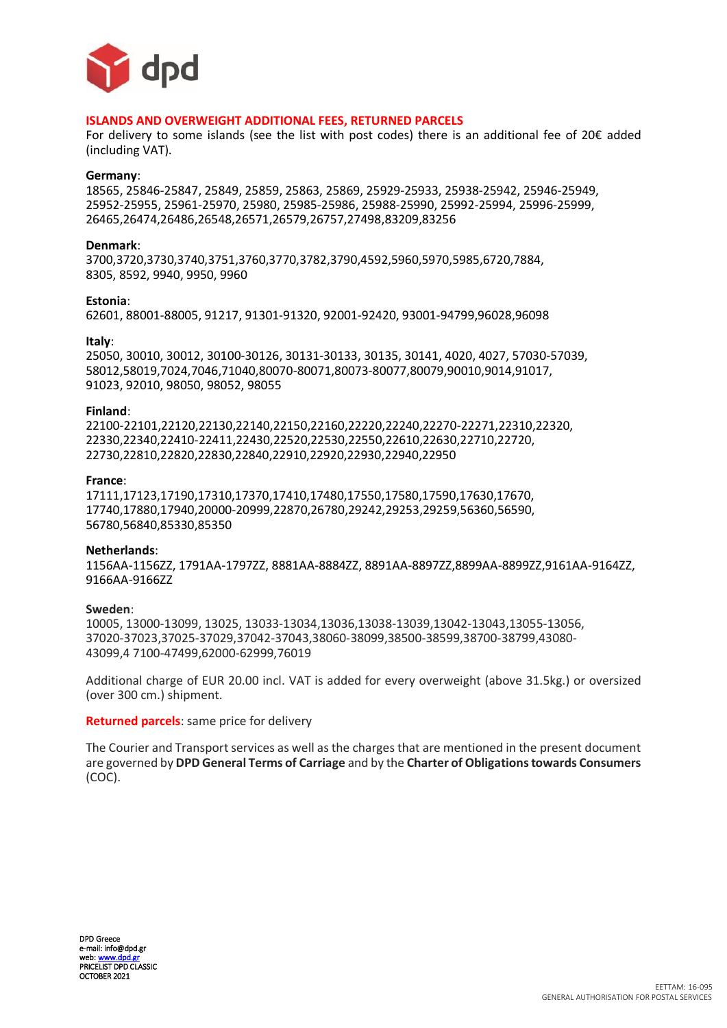

#### **ISLANDS AND OVERWEIGHT ADDITIONAL FEES, RETURNED PARCELS**

For delivery to some islands (see the list with post codes) there is an additional fee of 20€ added (including VAT).

#### **Germany**:

18565, 25846-25847, 25849, 25859, 25863, 25869, 25929-25933, 25938-25942, 25946-25949, 25952-25955, 25961-25970, 25980, 25985-25986, 25988-25990, 25992-25994, 25996-25999, 26465,26474,26486,26548,26571,26579,26757,27498,83209,83256

#### **Denmark**:

3700,3720,3730,3740,3751,3760,3770,3782,3790,4592,5960,5970,5985,6720,7884, 8305, 8592, 9940, 9950, 9960

#### **Estonia**:

62601, 88001-88005, 91217, 91301-91320, 92001-92420, 93001-94799,96028,96098

#### **Italy**:

25050, 30010, 30012, 30100-30126, 30131-30133, 30135, 30141, 4020, 4027, 57030-57039, 58012,58019,7024,7046,71040,80070-80071,80073-80077,80079,90010,9014,91017, 91023, 92010, 98050, 98052, 98055

#### **Finland**:

22100-22101,22120,22130,22140,22150,22160,22220,22240,22270-22271,22310,22320, 22330,22340,22410-22411,22430,22520,22530,22550,22610,22630,22710,22720, 22730,22810,22820,22830,22840,22910,22920,22930,22940,22950

#### **France**:

17111,17123,17190,17310,17370,17410,17480,17550,17580,17590,17630,17670, 17740,17880,17940,20000-20999,22870,26780,29242,29253,29259,56360,56590, 56780,56840,85330,85350

#### **Netherlands**:

1156AA-1156ZZ, 1791AA-1797ZZ, 8881AA-8884ZZ, 8891AA-8897ZZ,8899AA-8899ZZ,9161AA-9164ZZ, 9166AA-9166ZZ

#### **Sweden**:

10005, 13000-13099, 13025, 13033-13034,13036,13038-13039,13042-13043,13055-13056, 37020-37023,37025-37029,37042-37043,38060-38099,38500-38599,38700-38799,43080- 43099,4 7100-47499,62000-62999,76019

Additional charge of EUR 20.00 incl. VAT is added for every overweight (above 31.5kg.) or oversized (over 300 cm.) shipment.

#### **Returned parcels**: same price for delivery

The Courier and Transport services as well as the charges that are mentioned in the present document are governed by **DPD General Terms of Carriage** and by the **Charter of Obligations towards Consumers** (COC).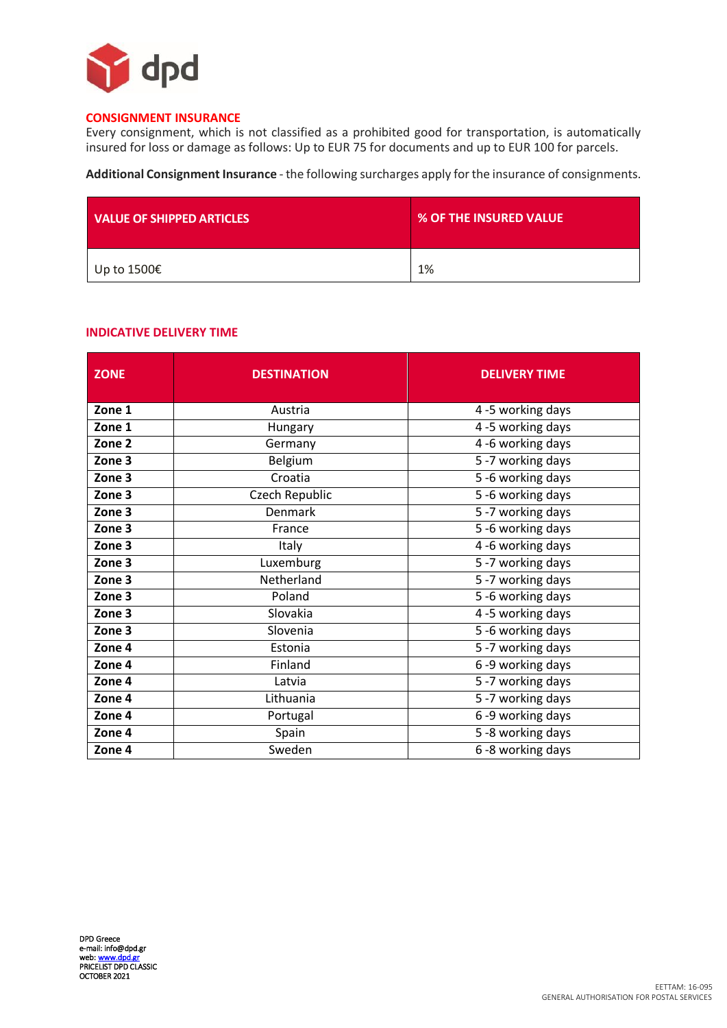

## **CONSIGNMENT INSURANCE**

Every consignment, which is not classified as a prohibited good for transportation, is automatically insured for loss or damage as follows: Up to EUR 75 for documents and up to EUR 100 for parcels.

**Additional Consignment Insurance** - the following surcharges apply for the insurance of consignments.

| <b>VALUE OF SHIPPED ARTICLES</b> | % OF THE INSURED VALUE |
|----------------------------------|------------------------|
| Up to 1500€                      | 1%                     |

## **INDICATIVE DELIVERY TIME**

| <b>ZONE</b>       | <b>DESTINATION</b> | <b>DELIVERY TIME</b> |
|-------------------|--------------------|----------------------|
| Zone 1            | Austria            | 4 -5 working days    |
| Zone 1            | Hungary            | 4-5 working days     |
| Zone <sub>2</sub> | Germany            | 4-6 working days     |
| Zone 3            | Belgium            | 5-7 working days     |
| Zone 3            | Croatia            | 5-6 working days     |
| Zone 3            | Czech Republic     | 5-6 working days     |
| Zone 3            | Denmark            | 5-7 working days     |
| Zone 3            | France             | 5-6 working days     |
| Zone 3            | Italy              | 4-6 working days     |
| Zone 3            | Luxemburg          | 5-7 working days     |
| Zone 3            | Netherland         | 5-7 working days     |
| Zone 3            | Poland             | 5-6 working days     |
| Zone 3            | Slovakia           | 4-5 working days     |
| Zone 3            | Slovenia           | 5-6 working days     |
| Zone 4            | Estonia            | 5-7 working days     |
| Zone 4            | Finland            | 6-9 working days     |
| Zone 4            | Latvia             | 5-7 working days     |
| Zone 4            | Lithuania          | 5-7 working days     |
| Zone 4            | Portugal           | $6 - 9$ working days |
| Zone 4            | Spain              | 5-8 working days     |
| Zone 4            | Sweden             | 6 -8 working days    |